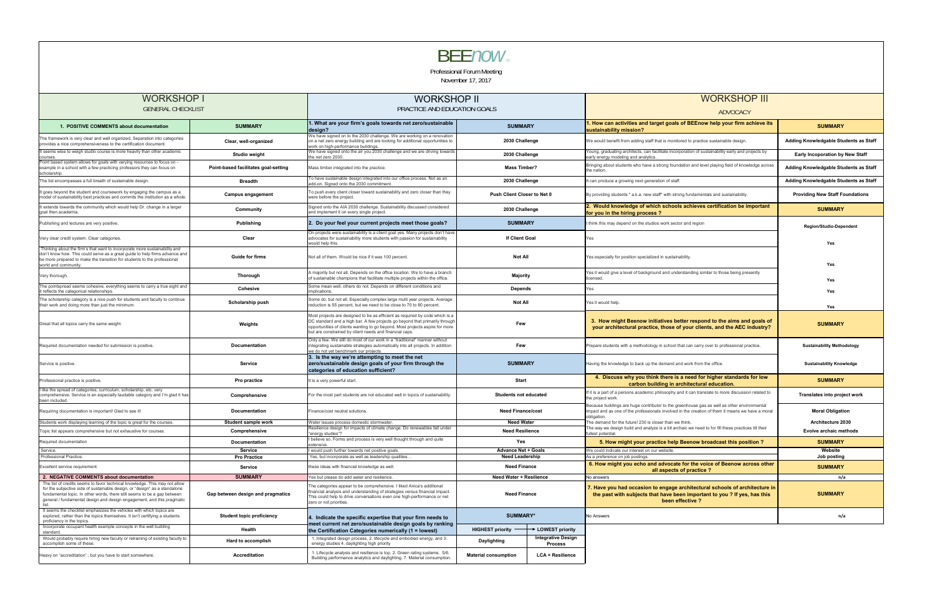|                                                                                                                                                                                                                                                                                                                         |                                      |                                                                                                                                                                                                                                                                                                        | November 17, 2017                                                                                                                                                                                  |                                                                                                                                                                                                                |                                        |  |
|-------------------------------------------------------------------------------------------------------------------------------------------------------------------------------------------------------------------------------------------------------------------------------------------------------------------------|--------------------------------------|--------------------------------------------------------------------------------------------------------------------------------------------------------------------------------------------------------------------------------------------------------------------------------------------------------|----------------------------------------------------------------------------------------------------------------------------------------------------------------------------------------------------|----------------------------------------------------------------------------------------------------------------------------------------------------------------------------------------------------------------|----------------------------------------|--|
| <b>WORKSHOP I</b>                                                                                                                                                                                                                                                                                                       |                                      | <b>WORKSHOP II</b>                                                                                                                                                                                                                                                                                     |                                                                                                                                                                                                    | <b>WORKSHOP III</b>                                                                                                                                                                                            |                                        |  |
| <b>GENERAL CHECKLIST</b>                                                                                                                                                                                                                                                                                                |                                      | PRACTICE AND EDUCATION GOALS                                                                                                                                                                                                                                                                           |                                                                                                                                                                                                    | ADVOCACY                                                                                                                                                                                                       |                                        |  |
| 1. POSITIVE COMMENTS about documentation                                                                                                                                                                                                                                                                                | <b>SUMMARY</b>                       | 1. What are your firm's goals towards net zero/sustainable<br>desian?                                                                                                                                                                                                                                  | <b>SUMMARY</b>                                                                                                                                                                                     | 1. How can activities and target goals of BEEnow help your firm achieve its<br>sustainability mission?                                                                                                         | <b>SUMMARY</b>                         |  |
| The framework is very clear and well organized. Separation into categories<br>provides a nice comprehensiveness to the certification document.                                                                                                                                                                          | Clear, well-organized                | We have signed on to the 2030 challenge. We are working on a renovation<br>on a net zero energy building and are looking for additional opportunities to<br>work on high-performance buildings.                                                                                                        | 2030 Challenge                                                                                                                                                                                     | We would benefit from adding staff that is monitored to practice sustainable design.                                                                                                                           | Adding Knowledgable Students as Staff  |  |
| It seems wise to weigh studio course is more heavily than other academic<br>courses                                                                                                                                                                                                                                     | <b>Studio weight</b>                 | We have signed onto the air you 2030 challenge and we are driving towards<br>the net zero 2030                                                                                                                                                                                                         | 2030 Challenge                                                                                                                                                                                     | oung, graduating architects, can facilitate incorporation of sustainability early and projects by/<br>arly energy modeling and analytics.                                                                      | <b>Early Incoporation by New Staff</b> |  |
| Point based system allows for goals with varying resources to focus on -<br>example in a school with a few practicing professors they can focus on<br>scholarship.                                                                                                                                                      | Point-based facilitates goal-setting | Mass timber integrated into the practice.                                                                                                                                                                                                                                                              | <b>Mass Timber?</b>                                                                                                                                                                                | Bringing about students who have a strong foundation and level playing field of knowledge across<br>the nation.                                                                                                | Adding Knowledgable Students as Staff  |  |
| The list encompasses a full breath of sustainable design.                                                                                                                                                                                                                                                               | <b>Breadth</b>                       | To have sustainable design integrated into our office process. Not as an<br>add-on. Signed onto the 2030 commitment.                                                                                                                                                                                   | 2030 Challenge                                                                                                                                                                                     | can produce a growing next generation of staff.                                                                                                                                                                | Adding Knowledgable Students as Staff  |  |
| It goes beyond the student and coursework by engaging the campus as a<br>model of sustainability best practices and commits the institution as a whole.                                                                                                                                                                 | <b>Campus engagement</b>             | To push every client closer toward sustainability and zero closer than they<br>were before the project                                                                                                                                                                                                 | Push Client Closer to Net 0                                                                                                                                                                        | By providing students " a.k.a. new staff" with strong fundamentals and sustainability.                                                                                                                         | <b>Providing New Staff Foundations</b> |  |
| It extends towards the community which would help Dr. change in a larger<br>goal then academia.                                                                                                                                                                                                                         | Community                            | Signed onto the AIA 2030 challenge. Sustainability discussed considered<br>and implement it on every single project.                                                                                                                                                                                   | 2030 Challenge                                                                                                                                                                                     | 2. Would knowledge of which schools achieves certification be important<br>for you in the hiring process?                                                                                                      | <b>SUMMARY</b>                         |  |
| Publishing and lectures are very positive.                                                                                                                                                                                                                                                                              | Publishing                           | 2. Do your feel your current projects meet those goals?                                                                                                                                                                                                                                                | <b>SUMMARY</b>                                                                                                                                                                                     | I think this may depend on the studios work sector and region                                                                                                                                                  | <b>Region/Studio-Dependent</b>         |  |
| Very clear credit system. Clear categories.                                                                                                                                                                                                                                                                             | Clear                                | On projects were sustainability is a client goal yes. Many projects don't have<br>advocates for sustainability more students with passion for sustainability<br>would help this.                                                                                                                       | If Client Goal                                                                                                                                                                                     | Yes                                                                                                                                                                                                            | Yes                                    |  |
| Thinking about the firm's that want to incorporate more sustainability and<br>don't know how. This could serve as a great guide to help firms advance and<br>be more prepared to make the transition for students to the professional<br>world and community.                                                           | <b>Guide for firms</b>               | Not all of them. Would be nice if it was 100 percent.                                                                                                                                                                                                                                                  | <b>Not All</b>                                                                                                                                                                                     | Yes especially for position specialized in sustainability                                                                                                                                                      | Yes                                    |  |
| Very thorough.                                                                                                                                                                                                                                                                                                          | <b>Thorough</b>                      | A majority but not all. Depends on the office location. We to have a branch<br>of sustainable champions that facilitate multiple projects within the office.                                                                                                                                           | Majority                                                                                                                                                                                           | Yes it would give a level of background and understanding similar to those being presently<br>licensed                                                                                                         | Yes                                    |  |
| The pointspread seems cohesive, everything seems to carry a true eight and<br>t reflects the categorical relationships.                                                                                                                                                                                                 | Cohesive                             | Some mean well, others do not. Depends on different conditions and<br>mplications.                                                                                                                                                                                                                     | Depends                                                                                                                                                                                            | 'es                                                                                                                                                                                                            | Yes                                    |  |
| The scholarship category is a nice push for students and faculty to continue<br>their work and doing more than just the minimum.                                                                                                                                                                                        | Scholarship push                     | Some do, but not all. Especially complex large multi year projects. Average<br>reduction is 55 percent, but we need to be close to 70 to 80 percent.                                                                                                                                                   | <b>Not All</b>                                                                                                                                                                                     | Yes it would help.                                                                                                                                                                                             | Yes                                    |  |
| Great that all topics carry the same weight.                                                                                                                                                                                                                                                                            | Weights                              | Most projects are designed to be as efficient as required by code which is a<br>DC standard and a high bar. A few projects go beyond that primarily through<br>opportunities of clients wanting to go beyond. Most projects aspire for more<br>but are constrained by client needs and financial caps. | Few                                                                                                                                                                                                | 3. How might Beenow initiatives better respond to the aims and goals of<br>your architectural practice, those of your clients, and the AEC industry?                                                           | <b>SUMMARY</b>                         |  |
| Required documentation needed for submission is positive.                                                                                                                                                                                                                                                               | <b>Documentation</b>                 | Only a few. We still do most of our work in a "traditional" manner without<br>integrating sustainable strategies automatically into all projects. In addition<br>ve do not vet benchmark our projects                                                                                                  | Few                                                                                                                                                                                                | Prepare students with a methodology in school that can carry over to professional practice.                                                                                                                    | <b>Sustainability Methodology</b>      |  |
| Service is positive.                                                                                                                                                                                                                                                                                                    | Service                              | 3. Is the way we're attempting to meet the net<br>zero/sustainable design goals of your firm through the<br>categories of education sufficient?                                                                                                                                                        | <b>SUMMARY</b>                                                                                                                                                                                     | Having the knowledge to back up the demand and work from the office.                                                                                                                                           | <b>Sustainability Knowledge</b>        |  |
| Professional practice is positive.                                                                                                                                                                                                                                                                                      | Pro practice                         | It is a very powerful start.                                                                                                                                                                                                                                                                           | Start                                                                                                                                                                                              | 4. Discuss why you think there is a need for higher standards for low<br>carbon building in architectural education.                                                                                           | <b>SUMMARY</b>                         |  |
| I like the spread of categories; curriculum, scholarship, etc. very<br>comprehensive. Service is an especially laudable category and I'm glad it has<br>been included.                                                                                                                                                  | Comprehensive                        | For the most part students are not educated well in topics of sustainability.                                                                                                                                                                                                                          | <b>Students not educated</b>                                                                                                                                                                       | f it is a part of a persons academic philosophy and it can translate to more discussion related to<br>the project work.                                                                                        | Translates into project work           |  |
| Requiring documentation is important! Glad to see it!                                                                                                                                                                                                                                                                   | <b>Documentation</b>                 | Finance/cost neutral solutions.                                                                                                                                                                                                                                                                        | <b>Need Finance/cost</b>                                                                                                                                                                           | Because buildings are huge contributor to the greenhouse gas as well as other environmental<br>impact and as one of the professionals involved in the creation of them it means we have a moral<br>obligation. | <b>Moral Obligation</b>                |  |
| Students work displaying learning of the topic is great for the courses.                                                                                                                                                                                                                                                | <b>Student sample work</b>           | Water issues process domestic stormwater.<br>Resilience design for impacts of climate change. Do renewables fall under                                                                                                                                                                                 | <b>Need Water</b>                                                                                                                                                                                  | he demand for the future! 230 is closer than we think.<br>The way we design build and analyze is a bit archaic we need to for fill these practices till their                                                  | Architecture 2030                      |  |
| Topic list appears comprehensive but not exhaustive for courses                                                                                                                                                                                                                                                         | Comprehensive                        | 'energy studies"?<br>believe so. Forms and process is very well thought through and quite                                                                                                                                                                                                              | <b>Need Resilience</b>                                                                                                                                                                             | ıllest potential                                                                                                                                                                                               | Evolve archaic methods                 |  |
| Required documentation                                                                                                                                                                                                                                                                                                  | Documentation                        | extensive.                                                                                                                                                                                                                                                                                             | Yes                                                                                                                                                                                                | 5. How might your practice help Beenow broadcast this position ?                                                                                                                                               | <b>SUMMARY</b>                         |  |
| Service.<br>Professional Practice.                                                                                                                                                                                                                                                                                      | Service<br><b>Pro Practice</b>       | would push further towards net positive goals.<br>Yes, but incorporate as well as leadership qualities                                                                                                                                                                                                 | <b>Advance Net + Goals</b><br><b>Need Leadership</b>                                                                                                                                               | We could indicate our interest on our website.<br>As a preference on job postings.                                                                                                                             | Website<br>Job posting                 |  |
| Excellent service requirement.                                                                                                                                                                                                                                                                                          | Service                              | these ideas with financial knowledge as well.                                                                                                                                                                                                                                                          | <b>Need Finance</b>                                                                                                                                                                                | 6. How might you echo and advocate for the voice of Beenow across other<br>all aspects of practice?                                                                                                            |                                        |  |
| 2. NEGATIVE COMMENTS about documentation                                                                                                                                                                                                                                                                                | <b>SUMMARY</b>                       | 'es but please do add water and resilience.                                                                                                                                                                                                                                                            | Need Water + Resilience                                                                                                                                                                            | <b>Vo answers</b>                                                                                                                                                                                              | n/a                                    |  |
| The list of credits seems to favor technical knowledge. This may not allow<br>for the subjective side of sustainable design, or "design" as a standalone<br>fundamental topic. In other words, there still seems to be a gap between<br>general / fundamental design and design engagement, and this pragmatic<br>list. | Gap between design and pragmatics    | The categories appear to be comprehensive. I liked Anica's additional<br>financial analysis and understanding of strategies versus financial impact.<br>This could help to drive conversations even one high-performance or net<br>zero or not priorities.                                             | 7. Have you had occasion to engage architectural schools of architecture in<br><b>Need Finance</b><br>the past with subjects that have been important to you ? If yes, has this<br>been effective? |                                                                                                                                                                                                                | <b>SUMMARY</b>                         |  |
| It seems the checklist emphasizes the vehicles with which topics are<br>explored, rather than the topics themselves. It isn't certifying a students<br>proficiency in the topics.                                                                                                                                       | <b>Student topic proficiency</b>     | 4. Indicate the specific expertise that your firm needs to                                                                                                                                                                                                                                             | <b>SUMMARY*</b>                                                                                                                                                                                    | No Answers                                                                                                                                                                                                     | n/a                                    |  |
| Incorporate occupant health example concepts in the well building<br>standard.                                                                                                                                                                                                                                          | Health                               | meet current net zero/sustainable design goals by ranking<br>the Certification Categories numerically (1 = lowest)                                                                                                                                                                                     | <b>HIGHEST priority</b><br>LOWEST priority                                                                                                                                                         |                                                                                                                                                                                                                |                                        |  |
| Would probably require hiring new faculty or retraining of existing faculty to<br>accomplish some of these.                                                                                                                                                                                                             | Hard to accomplish                   | 1. Integrated design process, 2. lifecycle and embodied energy, and 3.<br>energy studies 4. daylighting high priority                                                                                                                                                                                  | <b>Integrative Design</b><br>Daylighting<br><b>Process</b>                                                                                                                                         |                                                                                                                                                                                                                |                                        |  |
| Heavy on "accreditation"; but you have to start somewhere.                                                                                                                                                                                                                                                              | Accreditation                        | 1. Lifecycle analysis and resilience is top. 2. Green rating systems. 5/6.<br>Building performance analytics and daylighting. 7. Material consumption.                                                                                                                                                 | <b>Material consumption</b><br>LCA + Resilience                                                                                                                                                    |                                                                                                                                                                                                                |                                        |  |



Professional Forum Meeting